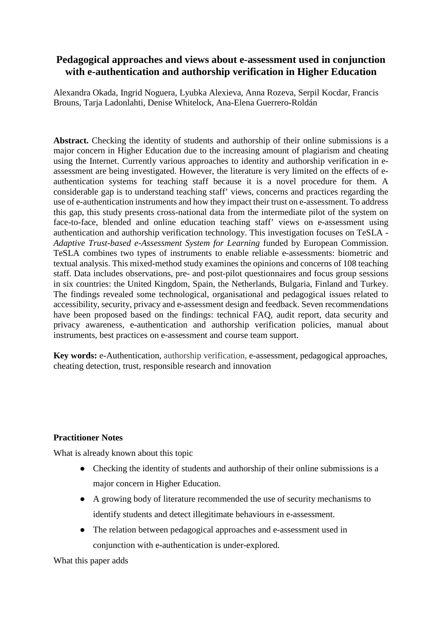## **Pedagogical approaches and views about e-assessment used in conjunction with e-authentication and authorship verification in Higher Education**

Alexandra Okada, Ingrid Noguera, Lyubka Alexieva, Anna Rozeva, Serpil Kocdar, Francis Brouns, Tarja Ladonlahti, Denise Whitelock, Ana-Elena Guerrero-Roldán

**Abstract.** Checking the identity of students and authorship of their online submissions is a major concern in Higher Education due to the increasing amount of plagiarism and cheating using the Internet. Currently various approaches to identity and authorship verification in eassessment are being investigated. However, the literature is very limited on the effects of eauthentication systems for teaching staff because it is a novel procedure for them. A considerable gap is to understand teaching staff' views, concerns and practices regarding the use of e-authentication instruments and how they impact their trust on e-assessment. To address this gap, this study presents cross-national data from the intermediate pilot of the system on face-to-face, blended and online education teaching staff' views on e-assessment using authentication and authorship verification technology. This investigation focuses on TeSLA - *Adaptive Trust-based e-Assessment System for Learning* funded by European Commission. TeSLA combines two types of instruments to enable reliable e-assessments: biometric and textual analysis. This mixed-method study examines the opinions and concerns of 108 teaching staff. Data includes observations, pre- and post-pilot questionnaires and focus group sessions in six countries: the United Kingdom, Spain, the Netherlands, Bulgaria, Finland and Turkey. The findings revealed some technological, organisational and pedagogical issues related to accessibility, security, privacy and e-assessment design and feedback. Seven recommendations have been proposed based on the findings: technical FAQ, audit report, data security and privacy awareness, e-authentication and authorship verification policies, manual about instruments, best practices on e-assessment and course team support.

**Key words:** e-Authentication, authorship verification, e-assessment, pedagogical approaches, cheating detection, trust, responsible research and innovation

### **Practitioner Notes**

What is already known about this topic

- Checking the identity of students and authorship of their online submissions is a major concern in Higher Education.
- A growing body of literature recommended the use of security mechanisms to identify students and detect illegitimate behaviours in e-assessment.
- The relation between pedagogical approaches and e-assessment used in conjunction with e-authentication is under-explored.

What this paper adds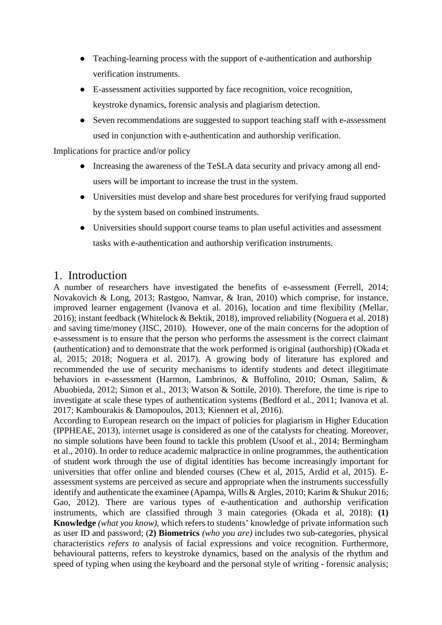- Teaching-learning process with the support of e-authentication and authorship verification instruments.
- E-assessment activities supported by face recognition, voice recognition, keystroke dynamics, forensic analysis and plagiarism detection.
- Seven recommendations are suggested to support teaching staff with e-assessment used in conjunction with e-authentication and authorship verification.

Implications for practice and/or policy

- Increasing the awareness of the TeSLA data security and privacy among all endusers will be important to increase the trust in the system.
- Universities must develop and share best procedures for verifying fraud supported by the system based on combined instruments.
- Universities should support course teams to plan useful activities and assessment tasks with e-authentication and authorship verification instruments.

# 1. Introduction

A number of researchers have investigated the benefits of e-assessment (Ferrell, 2014; Novakovich & Long, 2013; Rastgoo, Namvar, & Iran, 2010) which comprise, for instance, improved learner engagement (Ivanova et al. 2016), location and time flexibility (Mellar, 2016); instant feedback (Whitelock & Bektik, 2018), improved reliability (Noguera et al. 2018) and saving time/money (JISC, 2010). However, one of the main concerns for the adoption of e-assessment is to ensure that the person who performs the assessment is the correct claimant (authentication) and to demonstrate that the work performed is original (authorship) (Okada et al, 2015; 2018; Noguera et al. 2017). A growing body of literature has explored and recommended the use of security mechanisms to identify students and detect illegitimate behaviors in e-assessment (Harmon, Lambrinos, & Buffolino, 2010; Osman, Salim, & Abuobieda, 2012; Simon et al., 2013; Watson & Sottile, 2010). Therefore, the time is ripe to investigate at scale these types of authentication systems (Bedford et al., 2011; Ivanova et al. 2017; Kambourakis & Damopoulos, 2013; Kiennert et al, 2016).

According to European research on the impact of policies for plagiarism in Higher Education (IPPHEAE, 2013), internet usage is considered as one of the catalysts for cheating. Moreover, no simple solutions have been found to tackle this problem (Usoof et al., 2014; Bermingham et al., 2010). In order to reduce academic malpractice in online programmes, the authentication of student work through the use of digital identities has become increasingly important for universities that offer online and blended courses (Chew et al, 2015, Ardid et al, 2015). Eassessment systems are perceived as secure and appropriate when the instruments successfully identify and authenticate the examinee (Apampa, Wills & Argles, 2010; Karim & Shukur 2016; Gao, 2012). There are various types of e-authentication and authorship verification instruments, which are classified through 3 main categories (Okada et al, 2018): **(1) Knowledge** *(what you know),* which refers to students' knowledge of private information such as user ID and password; (**2) Biometrics** *(who you are)* includes two sub-categories, physical characteristics *refers to* analysis of facial expressions and voice recognition. Furthermore, behavioural patterns, refers to keystroke dynamics, based on the analysis of the rhythm and speed of typing when using the keyboard and the personal style of writing - forensic analysis;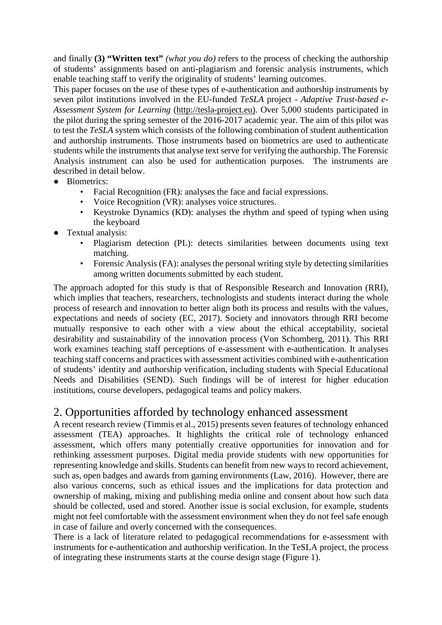and finally **(3) "Written text"** *(what you do)* refers to the process of checking the authorship of students' assignments based on anti-plagiarism and forensic analysis instruments, which enable teaching staff to verify the originality of students' learning outcomes.

This paper focuses on the use of these types of e-authentication and authorship instruments by seven pilot institutions involved in the EU-funded *TeSLA* project - *Adaptive Trust-based e-Assessment System for Learning* [\(http://tesla-project.eu\).](about:blank) Over 5,000 students participated in the pilot during the spring semester of the 2016-2017 academic year. The aim of this pilot was to test the *TeSLA* system which consists of the following combination of student authentication and authorship instruments. Those instruments based on biometrics are used to authenticate students while the instruments that analyse text serve for verifying the authorship. The Forensic Analysis instrument can also be used for authentication purposes. The instruments are described in detail below.

- Biometrics:
	- Facial Recognition (FR): analyses the face and facial expressions.
	- Voice Recognition (VR): analyses voice structures.
	- Keystroke Dynamics (KD): analyses the rhythm and speed of typing when using the keyboard
- Textual analysis:
	- Plagiarism detection (PL): detects similarities between documents using text matching.
	- Forensic Analysis (FA): analyses the personal writing style by detecting similarities among written documents submitted by each student.

The approach adopted for this study is that of Responsible Research and Innovation (RRI), which implies that teachers, researchers, technologists and students interact during the whole process of research and innovation to better align both its process and results with the values, expectations and needs of society (EC, 2017). Society and innovators through RRI become mutually responsive to each other with a view about the ethical acceptability, societal desirability and sustainability of the innovation process (Von Schomberg, 2011). This RRI work examines teaching staff perceptions of e-assessment with e-authentication. It analyses teaching staff concerns and practices with assessment activities combined with e-authentication of students' identity and authorship verification, including students with Special Educational Needs and Disabilities (SEND). Such findings will be of interest for higher education institutions, course developers, pedagogical teams and policy makers.

# 2. Opportunities afforded by technology enhanced assessment

A recent research review (Timmis et al., 2015) presents seven features of technology enhanced assessment (TEA) approaches. It highlights the critical role of technology enhanced assessment, which offers many potentially creative opportunities for innovation and for rethinking assessment purposes. Digital media provide students with new opportunities for representing knowledge and skills. Students can benefit from new ways to record achievement, such as, open badges and awards from gaming environments (Law, 2016). However, there are also various concerns, such as ethical issues and the implications for data protection and ownership of making, mixing and publishing media online and consent about how such data should be collected, used and stored. Another issue is social exclusion, for example, students might not feel comfortable with the assessment environment when they do not feel safe enough in case of failure and overly concerned with the consequences.

There is a lack of literature related to pedagogical recommendations for e-assessment with instruments for e-authentication and authorship verification. In the TeSLA project, the process of integrating these instruments starts at the course design stage (Figure 1).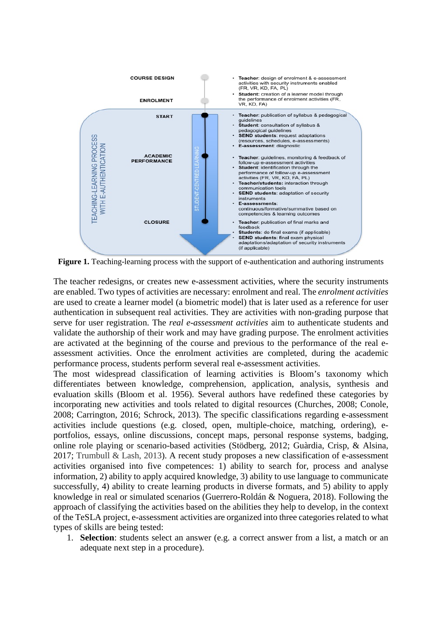

Figure 1. Teaching-learning process with the support of e-authentication and authoring instruments

The teacher redesigns, or creates new e-assessment activities, where the security instruments are enabled. Two types of activities are necessary: enrolment and real. The *enrolment activities* are used to create a learner model (a biometric model) that is later used as a reference for user authentication in subsequent real activities. They are activities with non-grading purpose that serve for user registration. The *real e-assessment activities* aim to authenticate students and validate the authorship of their work and may have grading purpose. The enrolment activities are activated at the beginning of the course and previous to the performance of the real eassessment activities. Once the enrolment activities are completed, during the academic performance process, students perform several real e-assessment activities.

The most widespread classification of learning activities is Bloom's taxonomy which differentiates between knowledge, comprehension, application, analysis, synthesis and evaluation skills (Bloom et al. 1956). Several authors have redefined these categories by incorporating new activities and tools related to digital resources (Churches, 2008; Conole, 2008; Carrington, 2016; Schrock, 2013). The specific classifications regarding e-assessment activities include questions (e.g. closed, open, multiple-choice, matching, ordering), eportfolios, essays, online discussions, concept maps, personal response systems, badging, online role playing or scenario-based activities (Stödberg, 2012; Guàrdia, Crisp, & Alsina, 2017; Trumbull & Lash, 2013). A recent study proposes a new classification of e-assessment activities organised into five competences: 1) ability to search for, process and analyse information, 2) ability to apply acquired knowledge, 3) ability to use language to communicate successfully, 4) ability to create learning products in diverse formats, and 5) ability to apply knowledge in real or simulated scenarios (Guerrero-Roldán & Noguera, 2018). Following the approach of classifying the activities based on the abilities they help to develop, in the context of the TeSLA project, e-assessment activities are organized into three categories related to what types of skills are being tested:

1. **Selection**: students select an answer (e.g. a correct answer from a list, a match or an adequate next step in a procedure).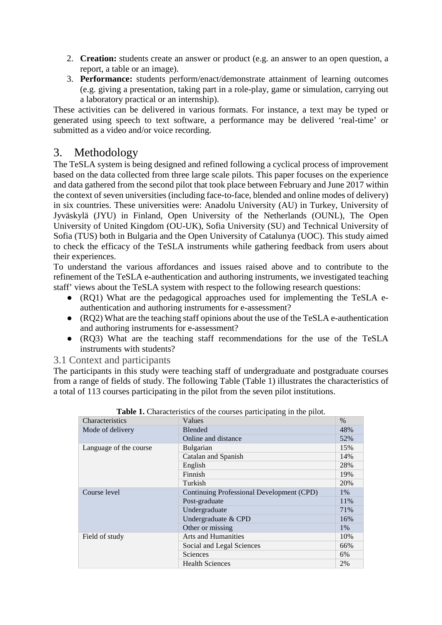- 2. **Creation:** students create an answer or product (e.g. an answer to an open question, a report, a table or an image).
- 3. **Performance:** students perform/enact/demonstrate attainment of learning outcomes (e.g. giving a presentation, taking part in a role-play, game or simulation, carrying out a laboratory practical or an internship).

These activities can be delivered in various formats. For instance, a text may be typed or generated using speech to text software, a performance may be delivered 'real-time' or submitted as a video and/or voice recording.

# 3. Methodology

The TeSLA system is being designed and refined following a cyclical process of improvement based on the data collected from three large scale pilots. This paper focuses on the experience and data gathered from the second pilot that took place between February and June 2017 within the context of seven universities (including face-to-face, blended and online modes of delivery) in six countries. These universities were: Anadolu University (AU) in Turkey, University of Jyväskylä (JYU) in Finland, Open University of the Netherlands (OUNL), The Open University of United Kingdom (OU-UK), Sofia University (SU) and Technical University of Sofia (TUS) both in Bulgaria and the Open University of Catalunya (UOC). This study aimed to check the efficacy of the TeSLA instruments while gathering feedback from users about their experiences.

To understand the various affordances and issues raised above and to contribute to the refinement of the TeSLA e-authentication and authoring instruments, we investigated teaching staff' views about the TeSLA system with respect to the following research questions:

- (RQ1) What are the pedagogical approaches used for implementing the TeSLA eauthentication and authoring instruments for e-assessment?
- (RQ2) What are the teaching staff opinions about the use of the TeSLA e-authentication and authoring instruments for e-assessment?
- (RQ3) What are the teaching staff recommendations for the use of the TeSLA instruments with students?

## 3.1 Context and participants

The participants in this study were teaching staff of undergraduate and postgraduate courses from a range of fields of study. The following Table (Table 1) illustrates the characteristics of a total of 113 courses participating in the pilot from the seven pilot institutions.

| $\frac{1}{2}$ . Online terms to the courses participating in the prior. |       |
|-------------------------------------------------------------------------|-------|
| Values                                                                  | $\%$  |
| <b>Blended</b>                                                          | 48%   |
| Online and distance                                                     | 52%   |
| Bulgarian                                                               | 15%   |
| Catalan and Spanish                                                     | 14%   |
| English                                                                 | 28%   |
| Finnish                                                                 | 19%   |
| Turkish                                                                 | 20%   |
| Continuing Professional Development (CPD)                               | 1%    |
| Post-graduate                                                           | 11%   |
| Undergraduate                                                           | 71%   |
| Undergraduate & CPD                                                     | 16%   |
| Other or missing                                                        | $1\%$ |
| <b>Arts and Humanities</b>                                              | 10%   |
| Social and Legal Sciences                                               | 66%   |
| Sciences                                                                | 6%    |
| <b>Health Sciences</b>                                                  | 2%    |
|                                                                         |       |

|  |  | Table 1. Characteristics of the courses participating in the pilot. |  |
|--|--|---------------------------------------------------------------------|--|
|--|--|---------------------------------------------------------------------|--|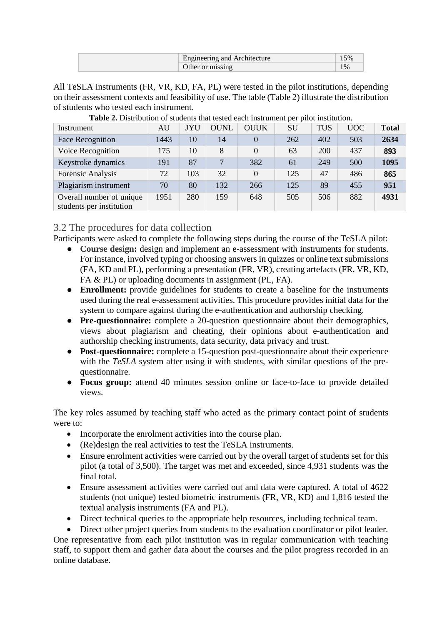| Engineering and Architecture | 5% |
|------------------------------|----|
| Other or missing             |    |

All TeSLA instruments (FR, VR, KD, FA, PL) were tested in the pilot institutions, depending on their assessment contexts and feasibility of use. The table (Table 2) illustrate the distribution of students who tested each instrument.

| Instrument                                           | AU   | <b>JYU</b> | <b>OUNL</b> | <b>OUUK</b>    | SU  | <b>TUS</b> | <b>UOC</b> | <b>Total</b> |
|------------------------------------------------------|------|------------|-------------|----------------|-----|------------|------------|--------------|
| Face Recognition                                     | 1443 | 10         | 14          | $\theta$       | 262 | 402        | 503        | 2634         |
| Voice Recognition                                    | 175  | 10         | 8           | $\Omega$       | 63  | 200        | 437        | 893          |
| Keystroke dynamics                                   | 191  | 87         | $\tau$      | 382            | 61  | 249        | 500        | 1095         |
| Forensic Analysis                                    | 72   | 103        | 32          | $\overline{0}$ | 125 | 47         | 486        | 865          |
| Plagiarism instrument                                | 70   | 80         | 132         | 266            | 125 | 89         | 455        | 951          |
| Overall number of unique<br>students per institution | 1951 | 280        | 159         | 648            | 505 | 506        | 882        | 4931         |

**Table 2.** Distribution of students that tested each instrument per pilot institution.

## 3.2 The procedures for data collection

Participants were asked to complete the following steps during the course of the TeSLA pilot:

- **Course design:** design and implement an e-assessment with instruments for students. For instance, involved typing or choosing answers in quizzes or online text submissions (FA, KD and PL), performing a presentation (FR, VR), creating artefacts (FR, VR, KD, FA & PL) or uploading documents in assignment (PL, FA).
- **Enrollment:** provide guidelines for students to create a baseline for the instruments used during the real e-assessment activities. This procedure provides initial data for the system to compare against during the e-authentication and authorship checking.
- **Pre-questionnaire:** complete a 20-question questionnaire about their demographics, views about plagiarism and cheating, their opinions about e-authentication and authorship checking instruments, data security, data privacy and trust.
- **Post-questionnaire:** complete a 15-question post-questionnaire about their experience with the *TeSLA* system after using it with students, with similar questions of the prequestionnaire.
- **Focus group:** attend 40 minutes session online or face-to-face to provide detailed views.

The key roles assumed by teaching staff who acted as the primary contact point of students were to:

- Incorporate the enrolment activities into the course plan.
- (Re)design the real activities to test the TeSLA instruments.
- Ensure enrolment activities were carried out by the overall target of students set for this pilot (a total of 3,500). The target was met and exceeded, since 4,931 students was the final total.
- Ensure assessment activities were carried out and data were captured. A total of 4622 students (not unique) tested biometric instruments (FR, VR, KD) and 1,816 tested the textual analysis instruments (FA and PL).
- Direct technical queries to the appropriate help resources, including technical team.

• Direct other project queries from students to the evaluation coordinator or pilot leader. One representative from each pilot institution was in regular communication with teaching staff, to support them and gather data about the courses and the pilot progress recorded in an online database.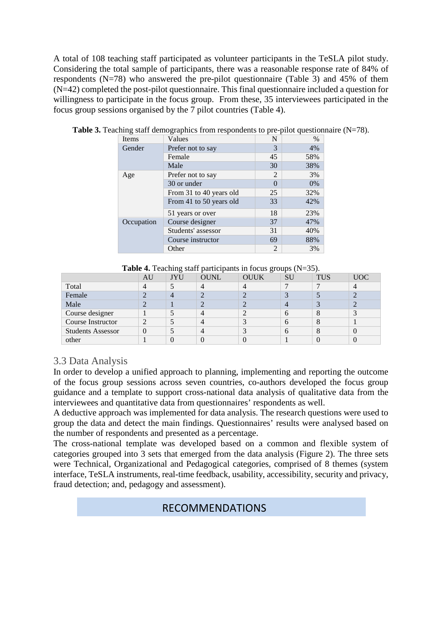A total of 108 teaching staff participated as volunteer participants in the TeSLA pilot study. Considering the total sample of participants, there was a reasonable response rate of 84% of respondents (N=78) who answered the pre-pilot questionnaire (Table 3) and 45% of them (N=42) completed the post-pilot questionnaire. This final questionnaire included a question for willingness to participate in the focus group. From these, 35 interviewees participated in the focus group sessions organised by the 7 pilot countries (Table 4).

| Items      | Values                  | N              | $\%$ |
|------------|-------------------------|----------------|------|
| Gender     | Prefer not to say       | 3              | 4%   |
|            | Female                  | 45             | 58%  |
|            | Male                    | 30             | 38%  |
| Age        | Prefer not to say       | 2              | 3%   |
|            | 30 or under             | $\Omega$       | 0%   |
|            | From 31 to 40 years old | 25             | 32%  |
|            | From 41 to 50 years old | 33             | 42%  |
|            | 51 years or over        | 18             | 23%  |
| Occupation | Course designer         | 37             | 47%  |
|            | Students' assessor      | 31             | 40%  |
|            | Course instructor       | 69             | 88%  |
|            | Other                   | $\overline{2}$ | 3%   |

**Table 3.** Teaching staff demographics from respondents to pre-pilot questionnaire (N=78).

|  |  | <b>Table 4.</b> Teaching staff participants in focus groups $(N=35)$ . |
|--|--|------------------------------------------------------------------------|
|--|--|------------------------------------------------------------------------|

|                          | AU | JYU            | OUNL      | <b>OUUK</b>    | <b>SU</b>      | <b>TUS</b> | <b>UOC</b>        |
|--------------------------|----|----------------|-----------|----------------|----------------|------------|-------------------|
| Total                    |    |                |           |                | −              |            |                   |
| Female                   |    | $\overline{4}$ | $\bigcap$ | ◠              | $\mathbf{z}$   |            | $\overline{2}$    |
| Male                     |    |                |           | $\bigcap$      | $\overline{4}$ | 2          | $\overline{2}$    |
| Course designer          |    |                | 4         | ◠              | <sub>0</sub>   | 8          | $\mathbf{z}$<br>J |
| Course Instructor        | ↑  |                | 4         | $\mathfrak{D}$ | <sub>0</sub>   | 8          |                   |
| <b>Students Assessor</b> |    |                | 4         | ◠              | <sub>0</sub>   | 8          | $\left($          |
| other                    |    |                |           |                |                |            | 0                 |

## 3.3 Data Analysis

In order to develop a unified approach to planning, implementing and reporting the outcome of the focus group sessions across seven countries, co-authors developed the focus group guidance and a template to support cross-national data analysis of qualitative data from the interviewees and quantitative data from questionnaires' respondents as well.

A deductive approach was implemented for data analysis. The research questions were used to group the data and detect the main findings. Questionnaires' results were analysed based on the number of respondents and presented as a percentage.

The cross-national template was developed based on a common and flexible system of categories grouped into 3 sets that emerged from the data analysis (Figure 2). The three sets were Technical, Organizational and Pedagogical categories, comprised of 8 themes (system interface, TeSLA instruments, real-time feedback, usability, accessibility, security and privacy, fraud detection; and, pedagogy and assessment).

## RECOMMENDATIONS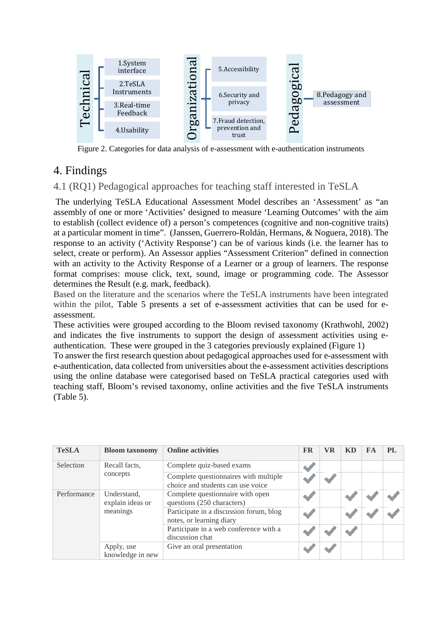

Figure 2. Categories for data analysis of e-assessment with e-authentication instruments

# 4. Findings

4.1 (RQ1) Pedagogical approaches for teaching staff interested in TeSLA

The underlying TeSLA Educational Assessment Model describes an 'Assessment' as "an assembly of one or more 'Activities' designed to measure 'Learning Outcomes' with the aim to establish (collect evidence of) a person's competences (cognitive and non-cognitive traits) at a particular moment in time". (Janssen, Guerrero-Roldán, Hermans, & Noguera, 2018). The response to an activity ('Activity Response') can be of various kinds (i.e. the learner has to select, create or perform). An Assessor applies "Assessment Criterion" defined in connection with an activity to the Activity Response of a Learner or a group of learners. The response format comprises: mouse click, text, sound, image or programming code. The Assessor determines the Result (e.g. mark, feedback).

Based on the literature and the scenarios where the TeSLA instruments have been integrated within the pilot, Table 5 presents a set of e-assessment activities that can be used for eassessment.

These activities were grouped according to the Bloom revised taxonomy (Krathwohl, 2002) and indicates the five instruments to support the design of assessment activities using eauthentication. These were grouped in the 3 categories previously explained (Figure 1)

To answer the first research question about pedagogical approaches used for e-assessment with e-authentication, data collected from universities about the e-assessment activities descriptions using the online database were categorised based on TeSLA practical categories used with teaching staff, Bloom's revised taxonomy, online activities and the five TeSLA instruments (Table 5).

| <b>TeSLA</b> | <b>Bloom taxonomy</b>           | <b>Online activities</b>                                                   | <b>FR</b> | VR | <b>KD</b> | FA | <b>PL</b> |
|--------------|---------------------------------|----------------------------------------------------------------------------|-----------|----|-----------|----|-----------|
| Selection    | Recall facts,                   | Complete quiz-based exams                                                  |           |    |           |    |           |
|              | concepts                        | Complete questionnaires with multiple<br>choice and students can use voice |           |    |           |    |           |
| Performance  | Understand,<br>explain ideas or | Complete questionnaire with open<br>questions (250 characters)             |           |    |           |    |           |
|              | meanings                        | Participate in a discussion forum, blog<br>notes, or learning diary        |           |    |           |    |           |
|              |                                 | Participate in a web conference with a<br>discussion chat                  |           |    |           |    |           |
|              | Apply, use<br>knowledge in new  | Give an oral presentation                                                  |           |    |           |    |           |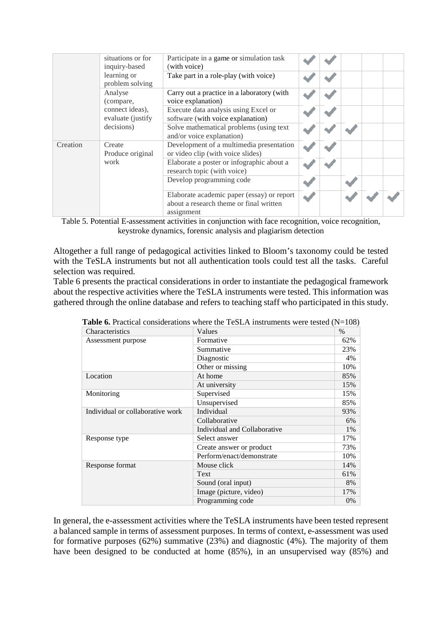|          | situations or for<br>inquiry-based   | Participate in a game or simulation task<br>(with voice)                                            |  |  |  |
|----------|--------------------------------------|-----------------------------------------------------------------------------------------------------|--|--|--|
|          | learning or<br>problem solving       | Take part in a role-play (with voice)                                                               |  |  |  |
|          | Analyse<br>(compare,                 | Carry out a practice in a laboratory (with<br>voice explanation)                                    |  |  |  |
|          | connect ideas),<br>evaluate (justify | Execute data analysis using Excel or<br>software (with voice explanation)                           |  |  |  |
|          | decisions)                           | Solve mathematical problems (using text)<br>and/or voice explanation)                               |  |  |  |
| Creation | Create<br>Produce original           | Development of a multimedia presentation<br>or video clip (with voice slides)                       |  |  |  |
|          | work                                 | Elaborate a poster or infographic about a<br>research topic (with voice)                            |  |  |  |
|          |                                      | Develop programming code                                                                            |  |  |  |
|          |                                      | Elaborate academic paper (essay) or report<br>about a research theme or final written<br>assignment |  |  |  |

Table 5. Potential E-assessment activities in conjunction with face recognition, voice recognition, keystroke dynamics, forensic analysis and plagiarism detection

Altogether a full range of pedagogical activities linked to Bloom's taxonomy could be tested with the TeSLA instruments but not all authentication tools could test all the tasks. Careful selection was required.

Table 6 presents the practical considerations in order to instantiate the pedagogical framework about the respective activities where the TeSLA instruments were tested. This information was gathered through the online database and refers to teaching staff who participated in this study.

|                              | $\sim$ $\sim$ $\prime$ |
|------------------------------|------------------------|
| Values                       | $\%$                   |
| Formative                    | 62%                    |
| Summative                    | 23%                    |
| Diagnostic                   | 4%                     |
| Other or missing             | 10%                    |
| At home                      | 85%                    |
| At university                | 15%                    |
| Supervised                   | 15%                    |
| Unsupervised                 | 85%                    |
| Individual                   | 93%                    |
| Collaborative                | 6%                     |
| Individual and Collaborative | 1%                     |
| Select answer                | 17%                    |
| Create answer or product     | 73%                    |
| Perform/enact/demonstrate    | 10%                    |
| Mouse click                  | 14%                    |
| Text                         | 61%                    |
| Sound (oral input)           | 8%                     |
| Image (picture, video)       | 17%                    |
| Programming code             | 0%                     |
|                              |                        |

**Table 6.** Practical considerations where the TeSLA instruments were tested (N=108)

In general, the e-assessment activities where the TeSLA instruments have been tested represent a balanced sample in terms of assessment purposes. In terms of context, e-assessment was used for formative purposes (62%) summative  $(23%)$  and diagnostic (4%). The majority of them have been designed to be conducted at home (85%), in an unsupervised way (85%) and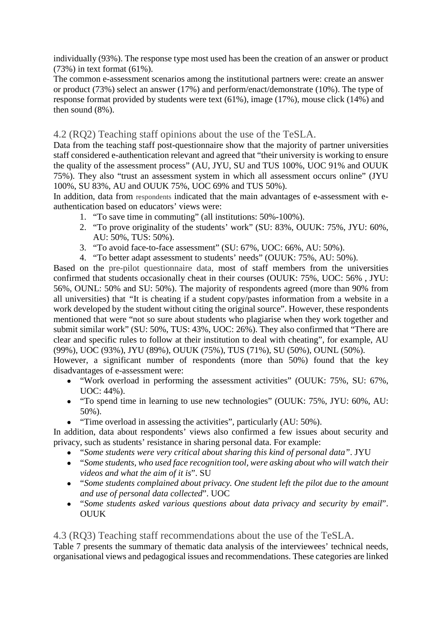individually (93%). The response type most used has been the creation of an answer or product (73%) in text format (61%).

The common e-assessment scenarios among the institutional partners were: create an answer or product (73%) select an answer (17%) and perform/enact/demonstrate (10%). The type of response format provided by students were text (61%), image (17%), mouse click (14%) and then sound (8%).

4.2 (RQ2) Teaching staff opinions about the use of the TeSLA.

Data from the teaching staff post-questionnaire show that the majority of partner universities staff considered e-authentication relevant and agreed that "their university is working to ensure the quality of the assessment process" (AU, JYU, SU and TUS 100%, UOC 91% and OUUK 75%). They also "trust an assessment system in which all assessment occurs online" (JYU 100%, SU 83%, AU and OUUK 75%, UOC 69% and TUS 50%).

In addition, data from respondents indicated that the main advantages of e-assessment with eauthentication based on educators' views were:

- 1. "To save time in commuting" (all institutions: 50%-100%).
- 2. "To prove originality of the students' work" (SU: 83%, OUUK: 75%, JYU: 60%, AU: 50%, TUS: 50%).
- 3. "To avoid face-to-face assessment" (SU: 67%, UOC: 66%, AU: 50%).
- 4. "To better adapt assessment to students' needs" (OUUK: 75%, AU: 50%).

Based on the pre-pilot questionnaire data, most of staff members from the universities confirmed that students occasionally cheat in their courses (OUUK: 75%, UOC: 56% , JYU: 56%, OUNL: 50% and SU: 50%). The majority of respondents agreed (more than 90% from all universities) that *"*It is cheating if a student copy/pastes information from a website in a work developed by the student without citing the original source". However, these respondents mentioned that were "not so sure about students who plagiarise when they work together and submit similar work" (SU: 50%, TUS: 43%, UOC: 26%). They also confirmed that "There are clear and specific rules to follow at their institution to deal with cheating", for example, AU (99%), UOC (93%), JYU (89%), OUUK (75%), TUS (71%), SU (50%), OUNL (50%).

However, a significant number of respondents (more than 50%) found that the key disadvantages of e-assessment were:

- "Work overload in performing the assessment activities" (OUUK: 75%, SU: 67%, UOC: 44%).
- "To spend time in learning to use new technologies" (OUUK: 75%, JYU: 60%, AU: 50%).
- "Time overload in assessing the activities", particularly (AU: 50%).

In addition, data about respondents' views also confirmed a few issues about security and privacy, such as students' resistance in sharing personal data. For example:

- "*Some students were very critical about sharing this kind of personal data"*. JYU
- "*Some students, who used face recognition tool, were asking about who will watch their videos and what the aim of it is*". SU
- "*Some students complained about privacy. One student left the pilot due to the amount and use of personal data collected*". UOC
- "*Some students asked various questions about data privacy and security by email*". **OUUK**

## 4.3 (RQ3) Teaching staff recommendations about the use of the TeSLA.

Table 7 presents the summary of thematic data analysis of the interviewees' technical needs, organisational views and pedagogical issues and recommendations. These categories are linked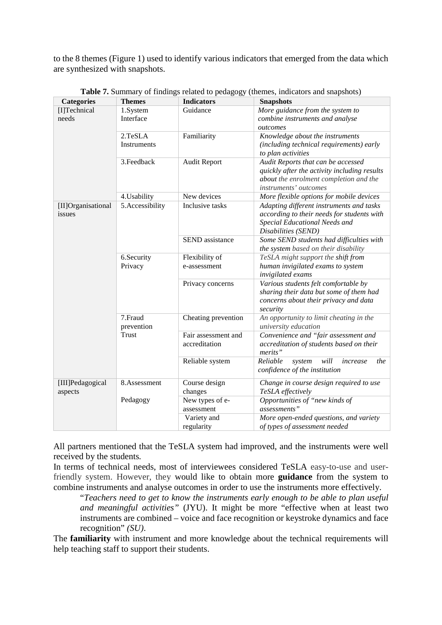to the 8 themes (Figure 1) used to identify various indicators that emerged from the data which are synthesized with snapshots.

| <b>Categories</b>  | <b>Themes</b>   | <b>Indicators</b>   | <b>Snapshots</b>                                                                 |
|--------------------|-----------------|---------------------|----------------------------------------------------------------------------------|
| [I]Technical       | 1.System        | Guidance            | More guidance from the system to                                                 |
| needs              | Interface       |                     | combine instruments and analyse                                                  |
|                    |                 |                     | outcomes                                                                         |
|                    | 2.TeSLA         | Familiarity         | Knowledge about the instruments                                                  |
|                    | Instruments     |                     | (including technical requirements) early                                         |
|                    |                 |                     | to plan activities                                                               |
|                    | 3. Feedback     | <b>Audit Report</b> | Audit Reports that can be accessed                                               |
|                    |                 |                     | quickly after the activity including results                                     |
|                    |                 |                     | about the enrolment completion and the                                           |
|                    |                 |                     | instruments' outcomes                                                            |
|                    | 4. Usability    | New devices         | More flexible options for mobile devices                                         |
| [II]Organisational | 5.Accessibility | Inclusive tasks     | Adapting different instruments and tasks                                         |
| issues             |                 |                     | according to their needs for students with                                       |
|                    |                 |                     | Special Educational Needs and                                                    |
|                    |                 | SEND assistance     | Disabilities (SEND)                                                              |
|                    |                 |                     | Some SEND students had difficulties with<br>the system based on their disability |
|                    | 6.Security      | Flexibility of      | TeSLA might support the shift from                                               |
|                    | Privacy         | e-assessment        | human invigilated exams to system                                                |
|                    |                 |                     | invigilated exams                                                                |
|                    |                 | Privacy concerns    | Various students felt comfortable by                                             |
|                    |                 |                     | sharing their data but some of them had                                          |
|                    |                 |                     | concerns about their privacy and data                                            |
|                    |                 |                     | security                                                                         |
|                    | 7.Fraud         | Cheating prevention | An opportunity to limit cheating in the                                          |
|                    | prevention      |                     | university education                                                             |
|                    | Trust           | Fair assessment and | Convenience and "fair assessment and                                             |
|                    |                 | accreditation       | accreditation of students based on their                                         |
|                    |                 |                     | merits"                                                                          |
|                    |                 | Reliable system     | Reliable<br>system<br>will<br>increase<br>the                                    |
|                    |                 |                     | confidence of the institution                                                    |
| [III]Pedagogical   | 8.Assessment    | Course design       | Change in course design required to use                                          |
| aspects            |                 | changes             | TeSLA effectively                                                                |
|                    | Pedagogy        | New types of e-     | Opportunities of "new kinds of                                                   |
|                    |                 | assessment          | assessments"                                                                     |
|                    |                 | Variety and         | More open-ended questions, and variety                                           |
|                    |                 | regularity          | of types of assessment needed                                                    |

**Table 7.** Summary of findings related to pedagogy (themes, indicators and snapshots)

All partners mentioned that the TeSLA system had improved, and the instruments were well received by the students*.*

In terms of technical needs, most of interviewees considered TeSLA easy-to-use and userfriendly system. However, they would like to obtain more **guidance** from the system to combine instruments and analyse outcomes in order to use the instruments more effectively.

"*Teachers need to get to know the instruments early enough to be able to plan useful and meaningful activities"* (JYU). It might be more "effective when at least two instruments are combined – voice and face recognition or keystroke dynamics and face recognition" *(SU)*.

The **familiarity** with instrument and more knowledge about the technical requirements will help teaching staff to support their students.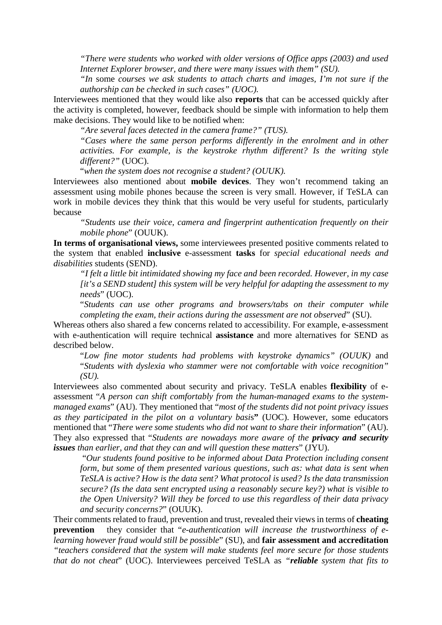*"There were students who worked with older versions of Office apps (2003) and used Internet Explorer browser, and there were many issues with them" (SU).*

*"In* some *courses we ask students to attach charts and images, I'm not sure if the authorship can be checked in such cases" (UOC).*

Interviewees mentioned that they would like also **reports** that can be accessed quickly after the activity is completed, however, feedback should be simple with information to help them make decisions. They would like to be notified when:

*"Are several faces detected in the camera frame?" (TUS).*

*"Cases where the same person performs differently in the enrolment and in other activities. For example, is the keystroke rhythm different? Is the writing style different?"* (UOC).

"*when the system does not recognise a student? (OUUK).*

Interviewees also mentioned about **mobile devices**. They won't recommend taking an assessment using mobile phones because the screen is very small. However, if TeSLA can work in mobile devices they think that this would be very useful for students, particularly because

*"Students use their voice, camera and fingerprint authentication frequently on their mobile phone*" (OUUK).

**In terms of organisational views,** some interviewees presented positive comments related to the system that enabled **inclusive** e-assessment **tasks** for *special educational needs and disabilities* students (SEND).

*"I felt a little bit intimidated showing my face and been recorded. However, in my case [it's a SEND student] this system will be very helpful for adapting the assessment to my needs*" (UOC).

"*Students can use other programs and browsers/tabs on their computer while completing the exam, their actions during the assessment are not observed*" (SU).

Whereas others also shared a few concerns related to accessibility. For example, e-assessment with e-authentication will require technical **assistance** and more alternatives for SEND as described below.

"*Low fine motor students had problems with keystroke dynamics" (OUUK)* and "*Students with dyslexia who stammer were not comfortable with voice recognition" (SU).* 

Interviewees also commented about security and privacy. TeSLA enables **flexibility** of eassessment "*A person can shift comfortably from the human-managed exams to the systemmanaged exams*" (AU). They mentioned that "*most of the students did not point privacy issues as they participated in the pilot on a voluntary basi*s**"** (UOC). However, some educators mentioned that "*There were some students who did not want to share their information*" (AU). They also expressed that "*Students are nowadays more aware of the privacy and security issues than earlier, and that they can and will question these matters*" (JYU).

"*Our students found positive to be informed about Data Protection including consent form, but some of them presented various questions, such as: what data is sent when TeSLA is active? How is the data sent? What protocol is used? Is the data transmission secure? (Is the data sent encrypted using a reasonably secure key?) what is visible to the Open University? Will they be forced to use this regardless of their data privacy and security concerns?*" (OUUK).

Their comments related to fraud, prevention and trust, revealed their views in terms of **cheating prevention** they consider that "*e-authentication will increase the trustworthiness of elearning however fraud would still be possible*" (SU), and **fair assessment and accreditation** *"teachers considered that the system will make students feel more secure for those students that do not cheat*" (UOC). Interviewees perceived TeSLA as *"reliable system that fits to*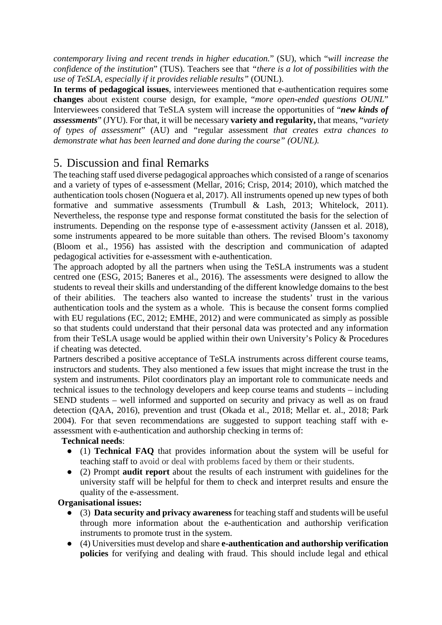*contemporary living and recent trends in higher education.*" (SU), which "*will increase the confidence of the institution*" (TUS). Teachers see that *"there is a lot of possibilities with the use of TeSLA, especially if it provides reliable results"* (OUNL).

**In terms of pedagogical issues**, interviewees mentioned that e-authentication requires some **changes** about existent course design, for example, "*more open-ended questions OUNL*" Interviewees considered that TeSLA system will increase the opportunities of "*new kinds of assessments*" (JYU). For that, it will be necessary **variety and regularity,** that means, "*variety of types of assessment*" (AU) and *"*regular assessment *that creates extra chances to demonstrate what has been learned and done during the course" (OUNL).*

# 5. Discussion and final Remarks

The teaching staff used diverse pedagogical approaches which consisted of a range of scenarios and a variety of types of e-assessment (Mellar, 2016; Crisp, 2014; 2010), which matched the authentication tools chosen (Noguera et al, 2017). All instruments opened up new types of both formative and summative assessments (Trumbull & Lash, 2013; Whitelock, 2011). Nevertheless, the response type and response format constituted the basis for the selection of instruments. Depending on the response type of e-assessment activity (Janssen et al. 2018), some instruments appeared to be more suitable than others. The revised Bloom's taxonomy (Bloom et al., 1956) has assisted with the description and communication of adapted pedagogical activities for e-assessment with e-authentication.

The approach adopted by all the partners when using the TeSLA instruments was a student centred one (ESG, 2015; Baneres et al., 2016). The assessments were designed to allow the students to reveal their skills and understanding of the different knowledge domains to the best of their abilities. The teachers also wanted to increase the students' trust in the various authentication tools and the system as a whole. This is because the consent forms complied with EU regulations (EC, 2012; EMHE, 2012) and were communicated as simply as possible so that students could understand that their personal data was protected and any information from their TeSLA usage would be applied within their own University's Policy & Procedures if cheating was detected.

Partners described a positive acceptance of TeSLA instruments across different course teams, instructors and students. They also mentioned a few issues that might increase the trust in the system and instruments. Pilot coordinators play an important role to communicate needs and technical issues to the technology developers and keep course teams and students – including SEND students – well informed and supported on security and privacy as well as on fraud detection (QAA, 2016), prevention and trust (Okada et al., 2018; Mellar et. al., 2018; Park 2004). For that seven recommendations are suggested to support teaching staff with eassessment with e-authentication and authorship checking in terms of:

### **Technical needs**:

- (1) **Technical FAQ** that provides information about the system will be useful for teaching staff to avoid or deal with problems faced by them or their students.
- (2) Prompt **audit report** about the results of each instrument with guidelines for the university staff will be helpful for them to check and interpret results and ensure the quality of the e-assessment.

## **Organisational issues:**

- (3) **Data security and privacy awareness** for teaching staff and students will be useful through more information about the e-authentication and authorship verification instruments to promote trust in the system.
- (4) Universities must develop and share **e-authentication and authorship verification policies** for verifying and dealing with fraud. This should include legal and ethical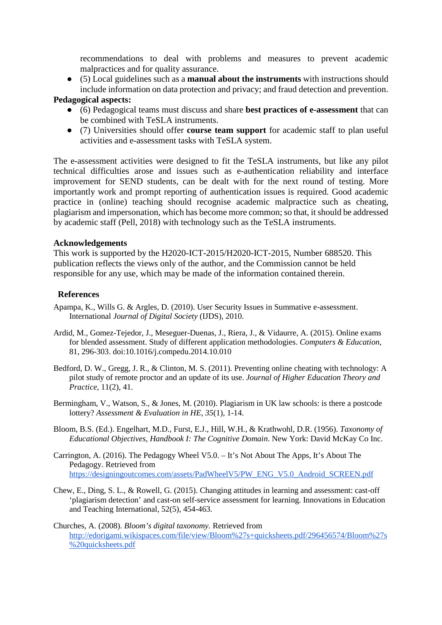recommendations to deal with problems and measures to prevent academic malpractices and for quality assurance.

● (5) Local guidelines such as a **manual about the instruments** with instructions should include information on data protection and privacy; and fraud detection and prevention.

#### **Pedagogical aspects:**

- (6) Pedagogical teams must discuss and share **best practices of e-assessment** that can be combined with TeSLA instruments.
- (7) Universities should offer **course team support** for academic staff to plan useful activities and e-assessment tasks with TeSLA system.

The e-assessment activities were designed to fit the TeSLA instruments, but like any pilot technical difficulties arose and issues such as e-authentication reliability and interface improvement for SEND students, can be dealt with for the next round of testing. More importantly work and prompt reporting of authentication issues is required. Good academic practice in (online) teaching should recognise academic malpractice such as cheating, plagiarism and impersonation, which has become more common; so that, it should be addressed by academic staff (Pell, 2018) with technology such as the TeSLA instruments.

#### **Acknowledgements**

This work is supported by the H2020-ICT-2015/H2020-ICT-2015, Number 688520. This publication reflects the views only of the author, and the Commission cannot be held responsible for any use, which may be made of the information contained therein.

#### **References**

- Apampa, K., Wills G. & Argles, D. (2010). User Security Issues in Summative e-assessment. International *Journal of Digital Society* (IJDS), 2010.
- Ardid, M., Gomez-Tejedor, J., Meseguer-Duenas, J., Riera, J., & Vidaurre, A. (2015). Online exams for blended assessment. Study of different application methodologies. *Computers & Education*, 81, 296-303. doi:10.1016/j.compedu.2014.10.010
- Bedford, D. W., Gregg, J. R., & Clinton, M. S. (2011). Preventing online cheating with technology: A pilot study of remote proctor and an update of its use. *Journal of Higher Education Theory and Practice,* 11(2), 41.
- Bermingham, V., Watson, S., & Jones, M. (2010). Plagiarism in UK law schools: is there a postcode lottery? *Assessment & Evaluation in HE*, *35*(1), 1-14.
- Bloom, B.S. (Ed.). Engelhart, M.D., Furst, E.J., Hill, W.H., & Krathwohl, D.R. (1956). *Taxonomy of Educational Objectives, Handbook I: The Cognitive Domain*. New York: David McKay Co Inc.
- Carrington, A. (2016). The Pedagogy Wheel V5.0. It's Not About The Apps, It's About The Pedagogy. Retrieved from [https://designingoutcomes.com/assets/PadWheelV5/PW\\_ENG\\_V5.0\\_Android\\_SCREEN.pdf](https://designingoutcomes.com/assets/PadWheelV5/PW_ENG_V5.0_Android_SCREEN.pdf)
- Chew, E., Ding, S. L., & Rowell, G. (2015). Changing attitudes in learning and assessment: cast-off 'plagiarism detection' and cast-on self-service assessment for learning. Innovations in Education and Teaching International, 52(5), 454-463.

Churches, A. (2008). *Bloom's digital taxonomy.* Retrieved fro[m](http://edorigami.wikispaces.com/file/view/Bloom%27s+quicksheets.pdf/296456574/Bloom%27s%20quicksheets.pdf) [http://edorigami.wikispaces.com/file/view/Bloom%27s+quicksheets.pdf/296456574/Bloom%27s](http://edorigami.wikispaces.com/file/view/Bloom%27s+quicksheets.pdf/296456574/Bloom%27s%20quicksheets.pdf) [%20quicksheets.pdf](http://edorigami.wikispaces.com/file/view/Bloom%27s+quicksheets.pdf/296456574/Bloom%27s%20quicksheets.pdf)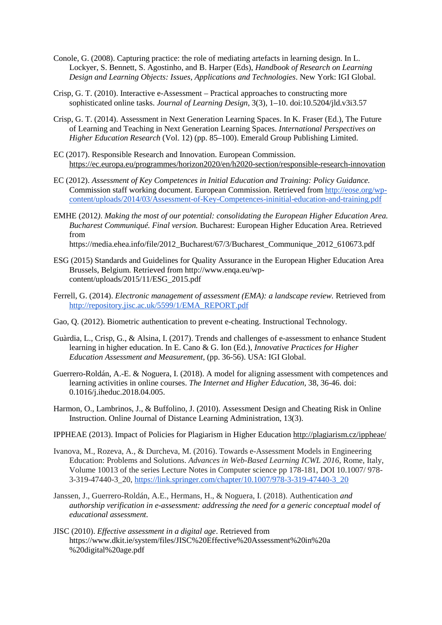- Conole, G. (2008). Capturing practice: the role of mediating artefacts in learning design. In L. Lockyer, S. Bennett, S. Agostinho, and B. Harper (Eds), *Handbook of Research on Learning Design and Learning Objects: Issues, Applications and Technologies*. New York: IGI Global.
- Crisp, G. T. (2010). Interactive e-Assessment Practical approaches to constructing more sophisticated online tasks. *Journal of Learning Design*, 3(3), 1–10. doi:10.5204/jld.v3i3.57
- Crisp, G. T. (2014). Assessment in Next Generation Learning Spaces. In K. Fraser (Ed.), The Future of Learning and Teaching in Next Generation Learning Spaces. *International Perspectives on Higher Education Research* (Vol. 12) (pp. 85–100). Emerald Group Publishing Limited.
- EC (2017). Responsible Research and Innovation. European Commission. <https://ec.europa.eu/programmes/horizon2020/en/h2020-section/responsible-research-innovation>
- EC (2012). *Assessment of Key Competences in Initial Education and Training: Policy Guidance.* Commission staff working document. European Commission. Retrieved fro[m](http://eose.org/wp-content/uploads/2014/03/Assessment-of-Key-Competences-ininitial-education-and-training.pdf) [http://eose.org/wp](http://eose.org/wp-content/uploads/2014/03/Assessment-of-Key-Competences-ininitial-education-and-training.pdf)[content/uploads/2014/03/Assessment-of-Key-Competences-ininitial-education-and-training.pdf](http://eose.org/wp-content/uploads/2014/03/Assessment-of-Key-Competences-ininitial-education-and-training.pdf)
- EMHE (2012*)*. *Making the most of our potential: consolidating the European Higher Education Area. Bucharest Communiqué. Final version.* Bucharest: European Higher Education Area. Retrieved from https://media.ehea.info/file/2012\_Bucharest/67/3/Bucharest\_Communique\_2012\_610673.pdf
- ESG (2015) Standards and Guidelines for Quality Assurance in the European Higher Education Area Brussels, Belgium. Retrieved from [http://www.enqa.eu/wp](http://www.enqa.eu/wp-content/uploads/2015/11/ESG_2015.pdf)[content/uploads/2015/11/ESG\\_2015.pdf](http://www.enqa.eu/wp-content/uploads/2015/11/ESG_2015.pdf)
- Ferrell, G. (2014). *Electronic management of assessment (EMA): a landscape review.* Retrieved fro[m](http://repository.jisc.ac.uk/5599/1/EMA_REPORT.pdf) [http://repository.jisc.ac.uk/5599/1/EMA\\_REPORT.pdf](http://repository.jisc.ac.uk/5599/1/EMA_REPORT.pdf)
- Gao, Q. (2012). Biometric authentication to prevent e-cheating. Instructional Technology.
- Guàrdia, L., Crisp, G., & Alsina, I. (2017). Trends and challenges of e-assessment to enhance Student learning in higher education. In E. Cano & G. Ion (Ed.), *Innovative Practices for Higher Education Assessment and Measurement,* (pp. 36-56). USA: IGI Global.
- Guerrero-Roldán, A.-E. & Noguera, I. (2018). A model for aligning assessment with competences and learning activities in online courses. *The Internet and Higher Education,* 38, 36-46. doi: 0.1016/j.iheduc.2018.04.005.
- Harmon, O., Lambrinos, J., & Buffolino, J. (2010). Assessment Design and Cheating Risk in Online Instruction. Online Journal of Distance Learning Administration, 13(3).
- IPPHEAE (2013). Impact of Policies for Plagiarism in Higher Educatio[n](http://plagiarism.cz/ippheae/) <http://plagiarism.cz/ippheae/>
- Ivanova, M., Rozeva, A., & Durcheva, M. (2016). Towards e-Assessment Models in Engineering Education: Problems and Solutions. *Advances in Web-Based Learning ICWL 2016*, Rome, Italy, Volume 10013 of the series Lecture Notes in Computer science pp 178-181, DOI 10.1007/ 978- 3-319-47440-3\_20, [https://link.springer.com/chapter/10.1007/978-3-319-47440-3\\_20](https://link.springer.com/chapter/10.1007/978-3-319-47440-3_20)
- Janssen, J., Guerrero-Roldán, A.E., Hermans, H., & Noguera, I. (2018). Authentication *and authorship verification in e-assessment: addressing the need for a generic conceptual model of educational assessment.*
- JISC (2010). *Effective assessment in a digital age*. Retrieved from https://www.dkit.ie/system/files/JISC%20Effective%20Assessment%20in%20a %20digital%20age.pdf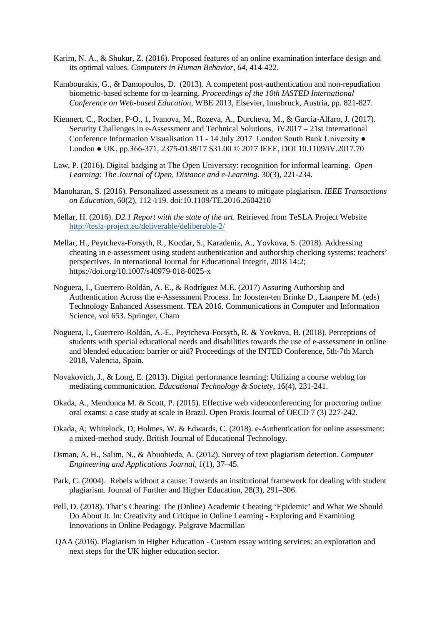- Karim, N. A., & Shukur, Z. (2016). Proposed features of an online examination interface design and its optimal values. *Computers in Human Behavior*, *64*, 414-422.
- Kambourakis, G., & Damopoulos, D. (2013). A competent post-authentication and non-repudiation biometric-based scheme for m-learning. *Proceedings of the 10th IASTED International Conference on Web-based Education*, WBE 2013, Elsevier, Innsbruck, Austria, pp. 821-827.
- Kiennert, C., Rocher, P-O., 1, Ivanova, M., Rozeva, A., Durcheva, M., & Garcia-Alfaro, J. (2017). Security Challenges in e-Assessment and Technical Solutions, iV2017 – 21st International Conference Information Visualisation 11 - 14 July 2017 London South Bank University ● London ● UK, pp.366-371, 2375-0138/17 \$31.00 © 2017 IEEE, DOI 10.1109/iV.2017.70
- Law, P. (2016). Digital badging at The Open University: recognition for informal learning. *Open Learning: The Journal of Open, Distance and e-Learning.* 30(3), 221-234.
- Manoharan, S. (2016). Personalized assessment as a means to mitigate plagiarism. *IEEE Transactions on Education*, 60(2), 112-119. doi:10.1109/TE.2016.2604210
- Mellar, H. (2016). *D2.1 Report with the state of the art.* Retrieved from TeSLA Project Websit[e](http://tesla-project.eu/deliverable/deliberable-2/) <http://tesla-project.eu/deliverable/deliberable-2/>
- Mellar, H., Peytcheva-Forsyth, R., Kocdar, S., Karadeniz, A., Yovkova, S. (2018). Addressing cheating in e-assessment using student authentication and authorship checking systems: teachers' perspectives. In nternational Journal for Educational Integrit, 2018 14:2; https://doi.org/10.1007/s40979-018-0025-x
- Noguera, I., Guerrero-Roldán, A. E., & Rodríguez M.E. (2017) Assuring Authorship and Authentication Across the e-Assessment Process. In: Joosten-ten Brinke D., Laanpere M. (eds) Technology Enhanced Assessment. TEA 2016. Communications in Computer and Information Science, vol 653. Springer, Cham
- Noguera, I., Guerrero-Roldán, A.-E., Peytcheva-Forsyth, R. & Yovkova, B. (2018). Perceptions of students with special educational needs and disabilities towards the use of e-assessment in online and blended education: barrier or aid? Proceedings of the INTED Conference, 5th-7th March 2018, Valencia, Spain.
- Novakovich, J., & Long, E. (2013). Digital performance learning: Utilizing a course weblog for mediating communication. *Educational Technology & Society*, 16(4), 231-241.
- Okada, A., Mendonca M. & Scott, P. (2015). Effective web videoconferencing for proctoring online oral exams: a case study at scale in Brazil. Open Praxis Journal of OECD 7 (3) 227-242.
- Okada, A; Whitelock, D; Holmes, W. & Edwards, C. (2018). e-Authentication for online assessment: a mixed-method study. British Journal of Educational Technology.
- Osman, A. H., Salim, N., & Abuobieda, A. (2012). Survey of text plagiarism detection. *Computer Engineering and Applications Journal*, 1(1), 37–45.
- Park, C. (2004). Rebels without a cause: Towards an institutional framework for dealing with student plagiarism. Journal of Further and Higher Education, 28(3), 291–306.
- Pell, D. (2018). That's Cheating: The (Online) Academic Cheating 'Epidemic' and What We Should Do About It. In: Creativity and Critique in Online Learning - Exploring and Examining Innovations in Online Pedagogy. Palgrave Macmillan
- QAA (2016)[.](http://www.qaa.ac.uk/en/Publications/Documents/Plagiarism-in-Higher-Education-2016.pdf) [Plagiarism in Higher Education](http://www.qaa.ac.uk/en/Publications/Documents/Plagiarism-in-Higher-Education-2016.pdf) Custom essay writing services: an exploration and next steps for the UK higher education sector.